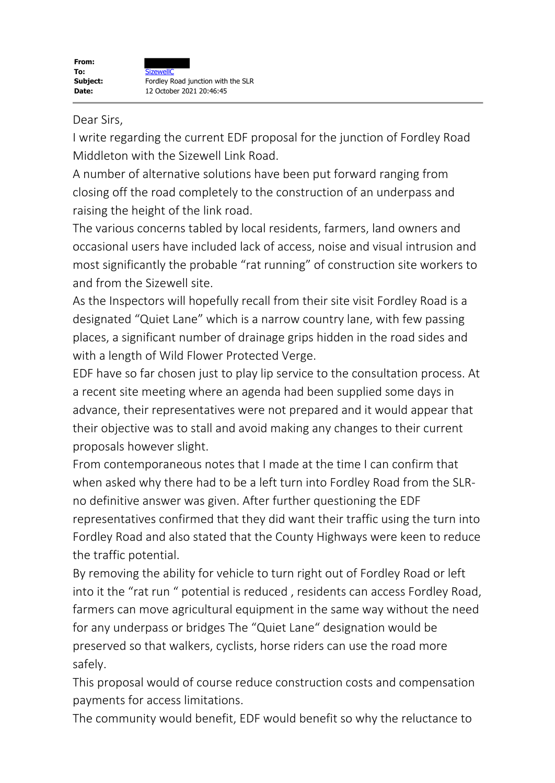## Dear Sirs,

I write regarding the current EDF proposal for the junction of Fordley Road Middleton with the Sizewell Link Road.

A number of alternative solutions have been put forward ranging from closing off the road completely to the construction of an underpass and raising the height of the link road.

The various concerns tabled by local residents, farmers, land owners and occasional users have included lack of access, noise and visual intrusion and most significantly the probable "rat running" of construction site workers to and from the Sizewell site.

As the Inspectors will hopefully recall from their site visit Fordley Road is a designated "Quiet Lane" which is a narrow country lane, with few passing places, a significant number of drainage grips hidden in the road sides and with a length of Wild Flower Protected Verge.

EDF have so far chosen just to play lip service to the consultation process. At a recent site meeting where an agenda had been supplied some days in advance, their representatives were not prepared and it would appear that their objective was to stall and avoid making any changes to their current proposals however slight.

From contemporaneous notes that I made at the time I can confirm that when asked why there had to be a left turn into Fordley Road from the SLRno definitive answer was given. After further questioning the EDF representatives confirmed that they did want their traffic using the turn into Fordley Road and also stated that the County Highways were keen to reduce the traffic potential.

By removing the ability for vehicle to turn right out of Fordley Road or left into it the "rat run " potential is reduced , residents can access Fordley Road, farmers can move agricultural equipment in the same way without the need for any underpass or bridges The "Quiet Lane" designation would be preserved so that walkers, cyclists, horse riders can use the road more safely.

This proposal would of course reduce construction costs and compensation payments for access limitations.

The community would benefit, EDF would benefit so why the reluctance to